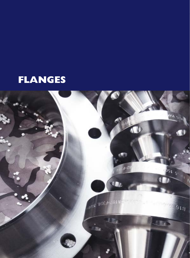# **FLANGES**

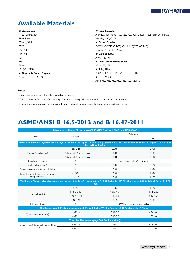### **Available Materials**

★ **Stainless Steel** A182 F304/L, 304H F310, 310H F316/L, 316H F317/L F321/H F347/H F51 F53 F904L F44 (254SMO) ★ **Duplex & Super Duplex**  A182 F51, F53, F55, F60

★ **Nickel-base Alloy**  Alloy200, 400, K500, 600, 625, 800, 800H, 800HT, 825, alloy 20, alloy28, hastelloy C22, C276 ★ **Other Grades**  Cu70Ni30(C71500, B30), Cu90Ni10(C70600, B10)

Titanium & Titanium Alloy ★ **Carbon Steel**  A105, A105N ★ **Low Temperature Steel**  A350 LF2, LF3 ★ **Alloy Steel**  A182 F5, F9, F11, F12, F22, F91, F911, FR ★ **High Yield** 

A694 F42, F46, F50, F52, F56, F60, F65, F70

#### **Note:**

1.Equivalent grade from EN/DIN is available for above.

2.The list above is for your reference only. The actual enquiry will consider order quantity and delivery time.

3.If didn't find your material here, you are kindly requested to make a specific enquiry to sales@kaysuns.com .

### **ASME/ANSI B 16.5-2013 and B 16.47-2011**

|                                          | Tolerances on Flange Dimensions (ASME/ANSI B16.5 and B16.7, and MSS SP-44)                                                                      |                            |                                           |  |
|------------------------------------------|-------------------------------------------------------------------------------------------------------------------------------------------------|----------------------------|-------------------------------------------|--|
| Dimension                                |                                                                                                                                                 |                            | Tolerance                                 |  |
|                                          | Range                                                                                                                                           | in                         | mm                                        |  |
|                                          | General and Blind Flanges(For blind flange dimendions see page 8-23 for B16.5, page8-46 for B16.47 Series A/ MSS SP-44 and page 8-51 for B16.47 | <b>Series B/ API 605):</b> |                                           |  |
|                                          | $\leq$ NPS 24                                                                                                                                   | ±0.03                      | ±0.76                                     |  |
| G(raised face diameter)                  | ≥NPS 26.with 0.06 in raised face                                                                                                                | ±0.08                      | ±2.03                                     |  |
|                                          | ≥NPS 26.with 0.25 in raised face                                                                                                                | ±0.04                      | ±1.02                                     |  |
| I(bolt hole diameter)                    | All                                                                                                                                             |                            | No tolerance in B16.5 or B16.47           |  |
| (bolt circle diameter)                   | All                                                                                                                                             | ±0.06                      | ±1.52                                     |  |
| Center to center of adjacent bolt holes  | All                                                                                                                                             | ±0.03                      | ±0.76                                     |  |
| Eccenticity of bolt circle and machined  | $\leq$ NPS 2 $\frac{1}{2}$                                                                                                                      | ±0.03                      | ±0.76                                     |  |
| facing diameters                         | $\geq$ NPS 3                                                                                                                                    | ±0.06                      | ±1.52                                     |  |
|                                          | Weld Neck Flanges1 (For dimensions see page 8-10 for B 16.5, page 8-46 for B16.47 Series A/ MSS SP-44 and page 8-51 for B16.47 Series B/ API    | $605$ :                    |                                           |  |
|                                          | $\leq$ NPS 4                                                                                                                                    | $+0.06$                    | $+1.52$                                   |  |
|                                          | NPS 5 to 10                                                                                                                                     | $+0.06,-0.12$              | $+1.52,-3.05$                             |  |
| D(overall length)                        | NPS 12 to 24                                                                                                                                    | $+0.12,-0.18$              | $+3.05,-4.57$                             |  |
|                                          | $\geq$ NPS 26                                                                                                                                   | ±0.19                      | ±4.83                                     |  |
| Thickness of hub                         | All                                                                                                                                             |                            | $> 87.5\%$ of pipe nominal wall thickness |  |
|                                          | Slip On(see page 8-17), Lap Joint(see page8-32) and Socket Welding(see page8-30 for dimensions) Flanges:                                        |                            |                                           |  |
|                                          | $\leq$ NPS10                                                                                                                                    | $+0.03,-0.0$               | $+0.76,-0.0$                              |  |
| B(inside diameter, or bore)              | $\geq$ NPSI2                                                                                                                                    | $+0.06,-0.0$               | $+1.52,-0.0$                              |  |
|                                          | Threaded Flanges (see page 8-40 for dimensions):                                                                                                |                            |                                           |  |
| B(counterbore) (Not applicable for Class | $\leq$ NPS10                                                                                                                                    | $+0.03,-0.0$               | $+0.76,-0.0$                              |  |
| 150 lb                                   | $\geq$ NPSI2                                                                                                                                    | $+0.06,-0.0$               | $+1.52,-0.0$                              |  |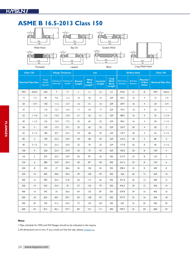

|           | <b>Class 150</b>         |                                                    |                                          | <b>Flange Thickness</b>        |                         |                                            | Ltb                 |                                       |                                        | <b>Drilline Data</b>                |                                          | <b>Class 150</b>         |                |
|-----------|--------------------------|----------------------------------------------------|------------------------------------------|--------------------------------|-------------------------|--------------------------------------------|---------------------|---------------------------------------|----------------------------------------|-------------------------------------|------------------------------------------|--------------------------|----------------|
|           | <b>Nominal Pipe Size</b> | <b>Flange</b><br><b>Outside</b><br><b>Diameter</b> | <b>Thickness of</b><br><b>Flance Min</b> | <b>Thickness of</b><br>Lap Min | <b>Bossed</b><br>Length | Weld<br><b>Neck</b><br>Length <sup>*</sup> | Lap Joint<br>Length | Long<br>Weld<br><b>Neck</b><br>Length | <b>Pitch Circle</b><br><b>Diameter</b> | <b>Bolt Hole</b><br><b>Diameter</b> | <b>Number</b><br>of Bolt<br><b>Holes</b> | <b>Nominal Pipe Size</b> |                |
| <b>MM</b> | <b>INCH</b>              | OD                                                 | T.                                       | ΤI                             | L                       | LI                                         | L2                  | L <sub>3</sub>                        | <b>PCD</b>                             | H                                   | $\#$                                     | <b>MM</b>                | <b>INCH</b>    |
| 15        | 1/2                      | 90                                                 | 9.6                                      | 11.2                           | 16                      | 46                                         | 16                  | 229                                   | 60.3                                   | 16                                  | $\overline{4}$                           | 15                       | 1/2            |
| 20        | 3/4                      | 100                                                | 11.2                                     | 12.7                           | 16                      | 51                                         | 16                  | 229                                   | 69.9                                   | 16                                  | $\overline{4}$                           | 20                       | 3/4            |
| 25        | $\mathbf{I}$             | 110                                                | 12.7                                     | 14.3                           | 17                      | 54                                         | 17                  | 229                                   | 79.4                                   | 16                                  | $\overline{4}$                           | 25                       | $\mathbf{I}$   |
| 32        | 11/4                     | 115                                                | 14.3                                     | 15.9                           | 21                      | 56                                         | 21                  | 229                                   | 88.9                                   | 16                                  | $\overline{4}$                           | 32                       | 11/4           |
| 40        | 11/2                     | 125                                                | 15.9                                     | 17.5                           | 22                      | 60                                         | 22                  | 229                                   | 98.4                                   | 16                                  | $\overline{4}$                           | 40                       | 11/2           |
| 50        | $\overline{2}$           | 150                                                | 17.5                                     | 19.1                           | 25                      | 62                                         | 25                  | 229                                   | 120.7                                  | 20                                  | $\overline{4}$                           | 50                       | $\overline{2}$ |
| 65        | 21/2                     | 180                                                | 20.7                                     | 22.3                           | 29                      | 68                                         | 29                  | 229                                   | 139.7                                  | 20                                  | $\overline{4}$                           | 65                       | 21/2           |
| 80        | $\overline{3}$           | 190                                                | 22.3                                     | 23.9                           | 30                      | 68                                         | 30                  | 229                                   | 152.4                                  | 20                                  | $\overline{4}$                           | 80                       | 3              |
| 90        | 31/2                     | 215                                                | 22.3                                     | 23.9                           | 32                      | 70                                         | 32                  | 229                                   | 177.8                                  | 20                                  | 8                                        | 90                       | 31/2           |
| 100       | $\overline{4}$           | 230                                                | 22.3                                     | 23.9                           | 33                      | 75                                         | 33                  | 229                                   | 190.5                                  | 20                                  | 8                                        | 100                      | $\overline{4}$ |
| 125       | 5                        | 255                                                | 22.3                                     | 23.9                           | 36                      | 87                                         | 36                  | 305                                   | 215.9                                  | 23                                  | 8                                        | 125                      | 5              |
| 150       | 6                        | 280                                                | 23.9                                     | 25.4                           | 40                      | 87                                         | 40                  | 305                                   | 241.3                                  | 23                                  | 8                                        | 150                      | 6              |
| 200       | 8                        | 345                                                | 27                                       | 28.6                           | 44                      | 100                                        | 44                  | 305                                   | 298.5                                  | 23                                  | 8                                        | 200                      | 8              |
| 250       | 10                       | 405                                                | 28.6                                     | 30.2                           | 49                      | 100                                        | 49                  | 305                                   | 362                                    | 26                                  | 12                                       | 250                      | $\overline{0}$ |
| 300       | 2                        | 485                                                | 30.2                                     | 31.8                           | 56                      | 113                                        | 56                  | 305                                   | 431.8                                  | 26                                  | 12                                       | 300                      | 12             |
| 350       | 4                        | 535                                                | 33.4                                     | 35                             | 57                      | 125                                        | 79                  | 305                                   | 476.3                                  | 29                                  | $ 2\rangle$                              | 350                      | 4              |
| 400       | 6                        | 595                                                | 35                                       | 36.6                           | 64                      | 125                                        | 87                  | 305                                   | 539.8                                  | 29                                  | 16                                       | 400                      | 16             |
| 450       | 18                       | 635                                                | 38.1                                     | 39.7                           | 69                      | 138                                        | 97                  | 305                                   | 577.9                                  | 32                                  | 16                                       | 450                      | 8              |
| 500       | 20                       | 700                                                | 41.3                                     | 42.9                           | 73                      | 43                                         | 103                 | 305                                   | 635                                    | 32                                  | 20                                       | 500                      | 20             |
| 600       | 24                       | 815                                                | 46.1                                     | 47.7                           | 83                      | 151                                        | 111                 | 305                                   | 749.3                                  | 25                                  | 20                                       | 600                      | 24             |

#### **Note:**

1.Pipe schedule for WN and SW flanges should to be indicated in the inquiry.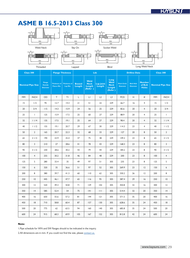

|           | <b>Class 300</b>         |                                                    |                                          | <b>Flange Thickness</b>               |                         |                                          | Ltb                 |                                                  |                                        | <b>Drilline Data</b>                |                                          |           | <b>Class 300</b>         |
|-----------|--------------------------|----------------------------------------------------|------------------------------------------|---------------------------------------|-------------------------|------------------------------------------|---------------------|--------------------------------------------------|----------------------------------------|-------------------------------------|------------------------------------------|-----------|--------------------------|
|           | <b>Nominal Pipe Size</b> | <b>Flange</b><br><b>Outside</b><br><b>Diameter</b> | <b>Thickness of</b><br><b>Flance Min</b> | <b>Thickness of</b><br><b>Lap Min</b> | <b>Bossed</b><br>Length | Weld<br><b>Neck</b><br>Length<br>(Refer) | Lap Joint<br>Length | Long<br>Weld<br><b>Neck</b><br>Length<br>(Refer) | <b>Pitch Circle</b><br><b>Diameter</b> | <b>Bolt Hole</b><br><b>Diameter</b> | <b>Number</b><br>of Bolt<br><b>Holes</b> |           | <b>Nominal Pipe Size</b> |
| <b>MM</b> | <b>INCH</b>              | OD                                                 | T.                                       | TΙ                                    | L                       | $\lfloor \cdot \rfloor$                  | L2                  | L <sub>3</sub>                                   | <b>PCD</b>                             | Н                                   | $\#$                                     | <b>MM</b> | <b>INCH</b>              |
| 15        | 1/2                      | 95                                                 | 12.7                                     | 14.3                                  | 21                      | 51                                       | 22                  | 229                                              | 66.7                                   | 16                                  | $\overline{4}$                           | 15        | 1/2                      |
| 20        | 3/4                      | 115                                                | 14.3                                     | 15.9                                  | 24                      | 56                                       | 25                  | 229                                              | 82.6                                   | 20                                  | $\overline{4}$                           | 20        | 3/4                      |
| 25        | $\overline{1}$           | 125                                                | 15.9                                     | 17.5                                  | 25                      | 60                                       | 27                  | 229                                              | 88.9                                   | 20                                  | $\overline{4}$                           | 25        | $\mathbf{I}$             |
| 32        | 11/4                     | 135                                                | 17.5                                     | 19.1                                  | 25                      | 64                                       | 27                  | 229                                              | 98.4                                   | 20                                  | $\overline{4}$                           | 32        | 11/4                     |
| 40        | 11/2                     | 155                                                | 9.1                                      | 20.7                                  | 29                      | 67                                       | 30                  | 229                                              | 114.3                                  | 23                                  | $\overline{4}$                           | 40        | 11/2                     |
| 50        | $\overline{2}$           | 165                                                | 20.7                                     | 22.3                                  | 32                      | 68                                       | 33                  | 229                                              | 127                                    | 20                                  | 8                                        | 50        | $\overline{2}$           |
| 65        | 21/2                     | 190                                                | 23.9                                     | 25.4                                  | 37                      | 75                                       | 38                  | 229                                              | 149.2                                  | 23                                  | 8                                        | 65        | 21/2                     |
| 80        | 3                        | 210                                                | 27                                       | 28.6                                  | 41                      | 78                                       | 43                  | 229                                              | 168.3                                  | 23                                  | 8                                        | 80        | $\overline{3}$           |
| 90        | 31/2                     | 230                                                | 28.6                                     | 30.2                                  | 43                      | 79                                       | 44                  | 229                                              | 184.2                                  | 23                                  | 8                                        | 90        | 31/2                     |
| 100       | $\overline{4}$           | 255                                                | 30.2                                     | 31.8                                  | 46                      | 84                                       | 48                  | 229                                              | 200                                    | 23                                  | 8                                        | 100       | $\overline{4}$           |
| 125       | 5                        | 280                                                | 33.4                                     | 35                                    | 49                      | 97                                       | 51                  | 305                                              | 235                                    | 23                                  | 8                                        | 125       | 5                        |
| 150       | 6                        | 320                                                | 35                                       | 36.6                                  | 51                      | 97                                       | 52                  | 305                                              | 269.9                                  | 23                                  | 12                                       | 150       | 6                        |
| 200       | 8                        | 380                                                | 39.7                                     | 41.3                                  | 60                      | 110                                      | 62                  | 305                                              | 330.2                                  | 26                                  | 12                                       | 200       | 8                        |
| 250       | $\overline{0}$           | 445                                                | 46.1                                     | 47.7                                  | 65                      | 116                                      | 95                  | 305                                              | 387.4                                  | 29                                  | 16                                       | 250       | $\overline{10}$          |
| 300       | 12                       | 520                                                | 49.3                                     | 50.8                                  | 71                      | 129                                      | 102                 | 305                                              | 450.8                                  | 32                                  | 16                                       | 300       | 12                       |
| 350       | 4                        | 585                                                | 52.4                                     | 54                                    | 75                      | 4                                        | 111                 | 305                                              | 514.4                                  | 32                                  | 20                                       | 350       | 4                        |
| 400       | 16                       | 650                                                | 55.6                                     | 57.2                                  | 81                      | 144                                      | 2                   | 305                                              | 571.5                                  | 35                                  | 20                                       | 400       | 16                       |
| 450       | 8                        | 710                                                | 58.8                                     | 60.4                                  | 87                      | 157                                      | 130                 | 305                                              | 628.6                                  | 35                                  | 24                                       | 450       | 18                       |
| 500       | 20                       | 775                                                | 62                                       | 63.5                                  | 94                      | 160                                      | 140                 | 305                                              | 685.8                                  | 35                                  | 24                                       | 500       | 20                       |
| 600       | 24                       | 915                                                | 68.3                                     | 69.9                                  | 105                     | 167                                      | 152                 | 305                                              | 812.8                                  | 42                                  | 24                                       | 600       | 24                       |

#### **Note:**

1.Pipe schedule for WN and SW flanges should to be indicated in the inquiry.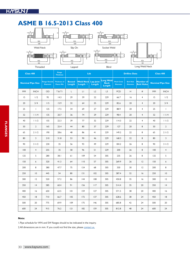

| <b>Class 400</b>         |                |                                          | <b>Flange</b><br><b>Thickness</b>        |                         | Ltb                            |                            |                                    |                                        | <b>Drilline Data</b>                |                                       | <b>Class 400</b>         |                 |
|--------------------------|----------------|------------------------------------------|------------------------------------------|-------------------------|--------------------------------|----------------------------|------------------------------------|----------------------------------------|-------------------------------------|---------------------------------------|--------------------------|-----------------|
| <b>Nominal Pipe Size</b> |                | <b>Flange Outside</b><br><b>Diameter</b> | <b>Thickness of</b><br><b>Flance Min</b> | <b>Bossed</b><br>Length | <b>Weld Neck</b><br>Length $*$ | <b>Lap Joint</b><br>Length | Long Weld<br><b>Neck</b><br>Length | <b>Pitch Circle</b><br><b>Diameter</b> | <b>Bolt Hole</b><br><b>Diameter</b> | <b>Number of</b><br><b>Bolt Holes</b> | <b>Nominal Pipe Size</b> |                 |
| <b>MM</b>                | <b>INCH</b>    | OD                                       | <b>T&amp;TI</b>                          | L                       | LI                             | L2                         | L <sub>3</sub>                     | <b>PCD</b>                             | Н                                   | #                                     | <b>MM</b>                | <b>INCH</b>     |
| 15                       | 1/2            | 95                                       | 14.3                                     | 29                      | 59                             | 22                         | 229                                | 66.7                                   | 16                                  | 4                                     | 15                       | 1/2             |
| 20                       | 3/4            | 115                                      | 15.9                                     | 32                      | 64                             | 25                         | 229                                | 82.6                                   | 20                                  | $\overline{4}$                        | 20                       | 3/4             |
| 25                       | $\mathbf{I}$   | 125                                      | 17.5                                     | 34                      | 69                             | 27                         | 229                                | 88.9                                   | 20                                  | $\overline{4}$                        | 25                       | $\mathbf{I}$    |
| 32                       | 11/4           | 135                                      | 20.7                                     | 36                      | 74                             | 29                         | 229                                | 98.4                                   | 20                                  | $\overline{4}$                        | 32                       | 11/4            |
| 40                       | 11/2           | 155                                      | 22.3                                     | 39                      | 77                             | 32                         | 229                                | 114.3                                  | 22                                  | $\overline{4}$                        | 40                       | 11/2            |
| 50                       | $\overline{2}$ | 165                                      | 25.4                                     | 44                      | 80                             | 37                         | 229                                | 127                                    | 20                                  | 8                                     | 50                       | $\overline{2}$  |
| 65                       | 21/2           | 190                                      | 28.6                                     | 48                      | 86                             | 4 <sub>l</sub>             | 229                                | 149.2                                  | 22                                  | 8                                     | 65                       | 21/2            |
| 80                       | 3              | 210                                      | 31.8                                     | 53                      | 90                             | 46                         | 229                                | 168.3                                  | 22                                  | 8                                     | 80                       | 3               |
| 90                       | 31/2           | 230                                      | 35                                       | 56                      | 93                             | 49                         | 229                                | 184.2                                  | 26                                  | 8                                     | 90                       | 31/2            |
| 100                      | $\overline{4}$ | 255                                      | 35                                       | 58                      | 96                             | 51                         | 229                                | 200                                    | 26                                  | 8                                     | 100                      | $\overline{4}$  |
| 125                      | 5              | 280                                      | 38.1                                     | 61                      | 109                            | 54                         | 305                                | 235                                    | 26                                  | 8                                     | 125                      | 5               |
| 150                      | 6              | 320                                      | 41.3                                     | 64                      | 110                            | 57                         | 305                                | 269.9                                  | 26                                  | $ 2\rangle$                           | 150                      | 6               |
| 200                      | 8              | 380                                      | 47.7                                     | 75                      | 124                            | 68                         | 305                                | 330                                    | 30                                  | $ 2\rangle$                           | 200                      | 8               |
| 250                      | 10             | 445                                      | 54                                       | 80                      | 3                              | 102                        | 305                                | 387.4                                  | 32                                  | 16                                    | 250                      | $\overline{10}$ |
| 300                      | 12             | 520                                      | 57.2                                     | 86                      | 44                             | 108                        | 305                                | 450.8                                  | 35                                  | 16                                    | 300                      | 12              |
| 350                      | 4              | 585                                      | 60.4                                     | 91                      | 156                            | 117                        | 305                                | 514.4                                  | 35                                  | 20                                    | 350                      | 4               |
| 400                      | 16             | 650                                      | 63.5                                     | 0                       | 159                            | 127                        | 305                                | 571.5                                  | 38                                  | 20                                    | 400                      | 16              |
| 450                      | 18             | 710                                      | 66.7                                     | 105                     | 172                            | 137                        | 305                                | 628.6                                  | 38                                  | 24                                    | 450                      | 8               |
| 500                      | 20             | 775                                      | 69.9                                     | 109                     | 175                            | 146                        | 305                                | 685.8                                  | 42                                  | 24                                    | 500                      | 20              |
| 600                      | 24             | 915                                      | 76.2                                     | 2                       | 182                            | 159                        | 305                                | 812.8                                  | 48                                  | 24                                    | 600                      | 24              |

### **Note:**

1.Pipe schedule for WN and SW flanges should to be indicated in the inquiry.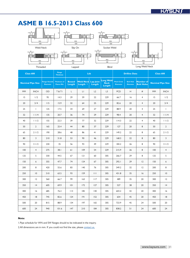

|           | <b>Class 600</b>         |                                          | <b>Flange</b><br><b>Thickness</b>        |                         | Ltb                            |                            |                             |                                        | <b>Drilline Data</b>                |                                |           | <b>Class 600</b>         |
|-----------|--------------------------|------------------------------------------|------------------------------------------|-------------------------|--------------------------------|----------------------------|-----------------------------|----------------------------------------|-------------------------------------|--------------------------------|-----------|--------------------------|
|           | <b>Nominal Pipe Size</b> | <b>Flange Outside</b><br><b>Diameter</b> | <b>Thickness of</b><br><b>Flance Min</b> | <b>Bossed</b><br>Length | <b>Weld Neck</b><br>Length $*$ | <b>Lap Joint</b><br>Length | Long Weld<br>Neck<br>Length | <b>Pitch Circle</b><br><b>Diameter</b> | <b>Bolt Hole</b><br><b>Diameter</b> | Number of<br><b>Bolt Holes</b> |           | <b>Nominal Pipe Size</b> |
| <b>MM</b> | <b>INCH</b>              | OD                                       | T&TI                                     | L                       | LI                             | L2                         | L <sub>3</sub>              | <b>PCD</b>                             | Н                                   | $\#$                           | <b>MM</b> | <b>INCH</b>              |
| 15        | 1/2                      | 95                                       | 14.3                                     | 29                      | 59                             | 22                         | 229                         | 66.7                                   | 16                                  | 4                              | 15        | 1/2                      |
| 20        | 3/4                      | 115                                      | 15.9                                     | 32                      | 64                             | 25                         | 229                         | 82.6                                   | 20                                  | $\overline{4}$                 | 20        | 3/4                      |
| 25        | $\mathbf{I}$             | 125                                      | 17.5                                     | 34                      | 69                             | 27                         | 229                         | 88.9                                   | 20                                  | 4                              | 25        | $\mathbf{I}$             |
| 32        | 11/4                     | 135                                      | 20.7                                     | 36                      | 74                             | 29                         | 229                         | 98.4                                   | 20                                  | $\overline{4}$                 | 32        | 11/4                     |
| 40        | 11/2                     | 155                                      | 22.3                                     | 39                      | 77                             | 32                         | 229                         | 114.3                                  | 22                                  | $\overline{4}$                 | 40        | 11/2                     |
| 50        | $\overline{2}$           | 165                                      | 25.4                                     | 44                      | 80                             | 37                         | 229                         | 127                                    | 20                                  | 8                              | 50        | $\overline{2}$           |
| 65        | 21/2                     | 190                                      | 28.6                                     | 48                      | 86                             | 41                         | 229                         | 149.2                                  | 22                                  | 8                              | 65        | 21/2                     |
| 80        | 3                        | 210                                      | 31.8                                     | 53                      | 90                             | 46                         | 229                         | 168.3                                  | 22                                  | 8                              | 80        | 3                        |
| 90        | 31/2                     | 230                                      | 35                                       | 56                      | 93                             | 49                         | 229                         | 184.2                                  | 26                                  | 8                              | 90        | 31/2                     |
| 100       | $\overline{4}$           | 275                                      | 38.1                                     | 61                      | 109                            | 54                         | 229                         | 215.9                                  | 26                                  | 8                              | 100       | $\overline{4}$           |
| 125       | 5                        | 330                                      | 44.5                                     | 67                      | 2                              | 60                         | 305                         | 266.7                                  | 29                                  | 8                              | 125       | 5                        |
| 150       | 6                        | 355                                      | 47.7                                     | 74                      | 124                            | 67                         | 305                         | 292.1                                  | 29                                  | 12                             | 150       | 6                        |
| 200       | 8                        | 420                                      | 55.6                                     | 83                      | 140                            | 76                         | 305                         | 349.2                                  | 32                                  | 12                             | 200       | 8                        |
| 250       | $ 0\rangle$              | 510                                      | 63.5                                     | 93                      | 159                            | $\Box$                     | 305                         | 431.8                                  | 35                                  | 16                             | 250       | $\overline{0}$           |
| 300       | 12                       | 560                                      | 66.7                                     | 99                      | 163                            | 117                        | 305                         | 489                                    | 35                                  | 20                             | 300       | 12                       |
| 350       | 4                        | 605                                      | 69.9                                     | 0                       | 172                            | 127                        | 305                         | 527                                    | 38                                  | 20                             | 350       | 4                        |
| 400       | 16                       | 685                                      | 76.2                                     | 113                     | 185                            | 140                        | 305                         | 603.2                                  | 42                                  | 20                             | 400       | 16                       |
| 450       | 8                        | 745                                      | 82.6                                     | 124<br> 9               |                                | 152                        | 305                         | 654                                    | 45                                  | 20                             | 450       | 8                        |
| 500       | 20                       | 815                                      | 88.9                                     | 134                     | 197                            | 165                        | 305                         | 723.9                                  | 45                                  | 24                             | 500       | 20                       |
| 600       | 24                       | 940                                      | 101.6                                    | 147                     | 210                            | 184                        | 305                         | 838.2                                  | 51                                  | 24                             | 600       | 24                       |

#### **Note:**

1.Pipe schedule for WN and SW flanges should to be indicated in the inquiry.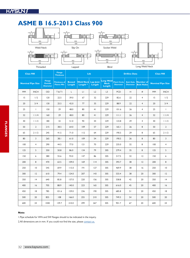

| <b>Class 900</b>         |                 |                                                    | <b>Flange</b><br><b>Thickness</b> |                         | Ltb                                     |                            |                                           |                                        | <b>Drilline Data</b>                |                                |                          | <b>Class 900</b> |
|--------------------------|-----------------|----------------------------------------------------|-----------------------------------|-------------------------|-----------------------------------------|----------------------------|-------------------------------------------|----------------------------------------|-------------------------------------|--------------------------------|--------------------------|------------------|
| <b>Nominal Pipe Size</b> |                 | <b>Flange</b><br><b>Outside</b><br><b>Diameter</b> | Thickness of<br><b>Flance Min</b> | <b>Bossed</b><br>Length | <b>Weld Neck</b><br>Length <sup>*</sup> | <b>Lap Joint</b><br>Length | <b>Long Weld</b><br><b>Neck</b><br>Length | <b>Pitch Circle</b><br><b>Diameter</b> | <b>Bolt Hole</b><br><b>Diameter</b> | Number of<br><b>Bolt Holes</b> | <b>Nominal Pipe Size</b> |                  |
| <b>MM</b>                | <b>INCH</b>     | OD                                                 | <b>T&amp;TI</b>                   | L                       | $\mathsf{L}\mathsf{L}$                  | L2                         | L <sub>3</sub>                            | <b>PCD</b>                             | Н                                   | #                              | <b>MM</b>                | <b>INCH</b>      |
| 15                       | 1/2             | 120                                                | 22.5                              | 39.0                    | 67                                      | 32                         | 229                                       | 82.6                                   | 22                                  | $\overline{4}$                 | 15                       | 1/2              |
| 20                       | 3/4             | 130                                                | 25.5                              | 42.0                    | 77                                      | 35                         | 229                                       | 88.9                                   | 22                                  | $\overline{4}$                 | 20                       | 3/4              |
| 25                       | $\mathbf{L}$    | 150                                                | 29                                | 48.0                    | 80                                      | 41                         | 229                                       | 101.6                                  | 26                                  | $\overline{4}$                 | 25                       | $\mathbf{I}$     |
| 32                       | 11/4            | 160                                                | 29                                | 48.0                    | 80                                      | 41                         | 229                                       | 111.1                                  | 26                                  | $\overline{4}$                 | 32                       | 11/4             |
| 40                       | 11/2            | 180                                                | 32                                | 51.0                    | 90                                      | 44                         | 229                                       | 123.8                                  | 29                                  | $\overline{4}$                 | 40                       | 11/2             |
| 50                       | $\overline{2}$  | $215$                                              | 38.5                              | 64.0                    | 109                                     | 57                         | 229                                       | 165.1                                  | 26                                  | 8                              | 50                       | $\overline{2}$   |
| 65                       | 21/2            | 245                                                | 41.5                              | 71.0                    | 112                                     | 64                         | 229                                       | 190.5                                  | 29                                  | 8                              | 65                       | 21/2             |
| 80                       | 3               | 265                                                | 38.1                              | 61.0                    | 109                                     | 54                         | 229                                       | 190.5                                  | 26                                  | 8                              | 80                       | 3                |
| 100                      | $\overline{4}$  | 290                                                | 44.5                              | 77.0                    | 2                                       | 70                         | 229                                       | 235.0                                  | 32                                  | 8                              | 100                      | $\overline{4}$   |
| 125                      | 5               | 350                                                | 50.8                              | 86.0                    | 134                                     | 79                         | 305                                       | 279.4                                  | 35                                  | 8                              | 125                      | 5                |
| 150                      | 6               | 380                                                | 55.6                              | 93.0                    | 147                                     | 86                         | 305                                       | 317.5                                  | 32                                  | 2                              | 150                      | $\boldsymbol{6}$ |
| 200                      | 8               | 470                                                | 63.5                              | 109.0                   | 169                                     | 114                        | 305                                       | 393.7                                  | 38                                  | 2                              | 200                      | 8                |
| 250                      | $\overline{10}$ | 545                                                | 69.9                              | 115.0                   | 9                                       | 127                        | 305                                       | 469.9                                  | 38                                  | 6                              | 250                      | $\overline{10}$  |
| 300                      | 2               | 610                                                | 79.4                              | 124.0                   | 207                                     | 43                         | 305                                       | 533.4                                  | 38                                  | 20                             | 300                      | 2                |
| 350                      | 4               | 640                                                | 85.8                              | 137.0                   | 220                                     | 156                        | 305                                       | 558.8                                  | 42                                  | 20                             | 350                      | 4                |
| 400                      | 16              | 705                                                | 88.9                              | 140.0                   | 223                                     | 165                        | 305                                       | 616.0                                  | 45                                  | 20                             | 400                      | 16               |
| 450                      | 8               | 785                                                | 101.6                             | 159.0                   | 236                                     | 190                        | 305                                       | 685.8                                  | 51                                  | 20                             | 450                      | 8                |
| 500                      | 20              | 855                                                | 108                               | 166.0                   | 255                                     | 210                        | 305                                       | 749.3                                  | 54                                  | 20                             | 500                      | 20               |
| 600                      | 24              | 1040                                               | 139.7                             | 210.0                   | 299                                     | 267                        | 305                                       | 901.7                                  | 67                                  | 20                             | 600                      | 24               |

#### **Note:**

1.Pipe schedule for WN and SW flanges should to be indicated in the inquiry.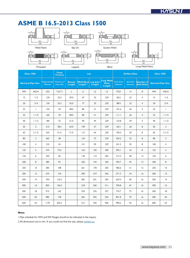

|           | <b>Class 1500</b>        |                                          | <b>Flange</b><br><b>Thickness</b>        |                         |                                         | Ltb                        |                                           |                                        | <b>Drilline Data</b>                |                                | <b>Class 1500</b> |                          |
|-----------|--------------------------|------------------------------------------|------------------------------------------|-------------------------|-----------------------------------------|----------------------------|-------------------------------------------|----------------------------------------|-------------------------------------|--------------------------------|-------------------|--------------------------|
|           | <b>Nominal Pipe Size</b> | <b>Flange Outside</b><br><b>Diameter</b> | <b>Thickness of</b><br><b>Flance Min</b> | <b>Bossed</b><br>Length | <b>Weld Neck</b><br>Length <sup>*</sup> | <b>Lap Joint</b><br>Length | <b>Long Weld</b><br><b>Neck</b><br>Length | <b>Pitch Circle</b><br><b>Diameter</b> | <b>Bolt Hole</b><br><b>Diameter</b> | Number of<br><b>Bolt Holes</b> |                   | <b>Nominal Pipe Size</b> |
| <b>MM</b> | <b>INCH</b>              | OD                                       | <b>T&amp;TI</b>                          | L                       | $\lfloor \cdot \rfloor$                 | L2                         | L <sub>3</sub>                            | <b>PCD</b>                             | H                                   | $\#$                           | <b>MM</b>         | <b>INCH</b>              |
| 15        | 1/2                      | 120                                      | 22.5                                     | 39.0                    | 67                                      | 32                         | 229                                       | 82.6                                   | 22                                  | $\overline{4}$                 | 15                | 1/2                      |
| 20        | 3/4                      | 130                                      | 25.5                                     | 42.0                    | 77                                      | 35                         | 229                                       | 88.9                                   | 22                                  | $\overline{4}$                 | 20                | 3/4                      |
| 25        | $\mathbf{I}$             | 150                                      | 29                                       | 48.0                    | 80                                      | 41                         | 229                                       | 101.6                                  | 26                                  | $\overline{4}$                 | 25                | $\mathbf{L}$             |
| 32        | 11/4                     | 160                                      | 29                                       | 48.0                    | 80                                      | 41                         | 229                                       | 111.1                                  | 26                                  | $\overline{4}$                 | 32                | 11/4                     |
| 40        | 11/2                     | 180                                      | 32                                       | 51.0                    | 90                                      | 44                         | 229                                       | 123.8                                  | 29                                  | $\overline{4}$                 | 40                | 11/2                     |
| 50        | $\overline{2}$           | 215                                      | 38.5                                     | 64.0                    | 109                                     | 57                         | 229                                       | 165.1                                  | 26                                  | 8                              | 50                | $\overline{2}$           |
| 65        | 21/2                     | 245                                      | 41.5                                     | 71.0                    | 112                                     | 64                         | 229                                       | 190.5                                  | 29                                  | 8                              | 65                | 21/2                     |
| 80        | 3                        | 265                                      | 48                                       |                         | 124                                     | 73                         | 229                                       | 203.2                                  | 32                                  | 8                              | 80                | 3                        |
| 100       | $\overline{4}$           | 310                                      | 54                                       |                         | 3                                       | 90                         | 229                                       | 241.3                                  | 35                                  | 8                              | 100               | $\overline{4}$           |
| 125       | 5                        | 375                                      | 73.5                                     |                         | 163                                     | 105                        | 305                                       | 292.1                                  | 42                                  | 8                              | 125               | 5                        |
| 150       | 6                        | 395                                      | 83                                       |                         | 178                                     | 119                        | 305                                       | 317.5                                  | 38                                  | 12                             | 150               | 6                        |
| 200       | 8                        | 485                                      | 92                                       |                         | 220                                     | 43                         | 305                                       | 393.7                                  | 45                                  | 12                             | 200               | 8                        |
| 250       | $\overline{0}$           | 585                                      | 108                                      |                         | 261                                     | 178                        | 305                                       | 482.6                                  | 51                                  | 12                             | 250               | 10                       |
| 300       | 12                       | 675                                      | 124                                      |                         | 290                                     | 219                        | 305                                       | 571.5                                  | 54                                  | 16                             | 300               | 12                       |
| 350       | 4                        | 750                                      | 133.5                                    |                         | 305                                     | 241                        | 305                                       | 635.0                                  | 60                                  | 16                             | 350               | 4                        |
| 400       | 16                       | 825                                      | 146.5                                    |                         | 318                                     | 260                        | 311                                       | 704.8                                  | 67                                  | 16                             | 400               | 16                       |
| 450       | 8                        | 915                                      | 162                                      |                         | 334                                     | 276                        | 327                                       | 774.7                                  | 73                                  | 16                             | 450               | 8                        |
| 500       | 20                       | 985                                      | 178                                      |                         | 363                                     | 292                        | 356                                       | 831.8                                  | 79                                  | 16                             | 500               | 20                       |
| 600       | 24                       | 1170                                     | 203.5                                    |                         | 413                                     | 330                        | 406                                       | 990.6                                  | 92                                  | 16                             | 600               | 24                       |

#### **Note:**

1.Pipe schedule for WN and SW flanges should to be indicated in the inquiry.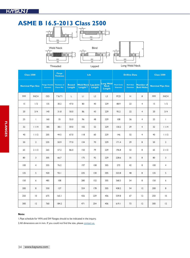

**Class 2500 Flange Flange Thickness Ltb Drilline Data Class 2500 Nominal Pipe Size** lange **Outsi**<br>Diameter **Thickness of Flance Min Bossed Length Weld Neck Length \* Lap Joint Length** Long Weld **Neck Length Pitch Circle Diameter Bolt Hole Diameter Number of Bolt Holes Nominal Pipe Size** MM INCH OD T & T1 L L1 L2 L3 PCD H # MM INCH 15 1/2 135 30.2 47.0 80 40 229 88.9 22 4 15 1/2 20 3/4 140 31.8 50.0 86 43 229 95.2 22 4 20 3/4 25 1 160 35 55.0 96 48 229 108 26 4 25 1 32 1 1/4 185 38.1 59.0 102 52 229 130.2 29 4 32 1 1/4 40 | 1 | / 2 | 205 | 44.5 | 67.0 | 118 | 60 | 229 | 146 | 32 | 4 | 40 | 1 | / 2 50 | 2 | 235 | 50.9 | 77.0 | 134 | 70 | 229 | 171.4 | 29 | 8 | 50 | 2 65 | 2 1/2 | 265 | 57.2 | 86.0 | 150 | 79 | 229 | 196.8 | 32 | 8 | 65 | 2 1/2 80 | 3 | 305 | 66.7 | | | | | | 175 | 92 | 229 | 228.6 | 35 | 8 | 80 | 3 100 | 4 | 355 | 76.2 | | | | | | | | 108 | 305 | 273 | 42 | 8 | | 100 | 4 125 | 5 | 420 | 92.1 | | | 235 | 130 | 305 | 323.8 | 48 | 8 | 125 | 5 150 | 6 | 485 | 108 | | | 280 | 152 | 305 | 368.3 | 54 | 8 | 150 | 6 200 | 8 | 550 | 127 | | | | 324 | 178 | 305 | 438.2 | 54 | 12 | 200 | 8 250 | 10 | 675 | 165.1 | | 426 | 229 | 406 | 539.8 | 67 | 12 | 250 | 10 300 | I2 | 760 | I84.2 | | 471 | 254 | 406 | 619.1 | 73 | I2 | 300 | I2

#### **Note:**

1.Pipe schedule for WN and SW flanges should to be indicated in the inquiry.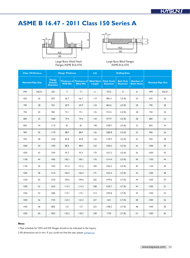# **ASME B 16.47 - 2011 Class 150 Series A**





Large Bore Weld Neck Flanges ASME B16.47A Large Bore Blind Flanges ASME B16.47A

|           | <b>Class 150 Series.a</b> |                                                    | <b>Flange Thickness</b> |                                                      | Ltb                        |                                        | <b>Drilling Data</b>                |                                        |           |                          |
|-----------|---------------------------|----------------------------------------------------|-------------------------|------------------------------------------------------|----------------------------|----------------------------------------|-------------------------------------|----------------------------------------|-----------|--------------------------|
|           | <b>Nominal Pipe Size</b>  | <b>Flange</b><br><b>Outside</b><br><b>Diameter</b> | W/N Min                 | <b>Thickness of Thickness of</b><br><b>Blind Min</b> | <b>Weld Neck</b><br>Length | <b>Pitch Circle</b><br><b>Diameter</b> | <b>Bolt Hole</b><br><b>Diameter</b> | <b>Number of</b><br><b>Bolts Holes</b> |           | <b>Nominal Pipe Size</b> |
| <b>MM</b> | <b>INCH</b>               | OD                                                 | T                       | ΤI                                                   | LI                         | PCD                                    | H                                   | #                                      | <b>MM</b> | <b>INCH</b>              |
| 650       | 26                        | 870                                                | 66.7                    | 66.7                                                 | 119                        | 806.4                                  | 1(3/8)                              | 24                                     | 650       | 26                       |
| 700       | 28                        | 925                                                | 69.9                    | 69.9                                                 | 124                        | 863.6                                  | 1(3/8)                              | 28                                     | 700       | 28                       |
| 750       | 30                        | 985                                                | 73.1                    | 73.1                                                 | 135                        | 914.4                                  | 1(3/8)                              | 28                                     | 750       | 30                       |
| 800       | 32                        | 1060                                               | 79.4                    | 79.4                                                 | 43                         | 977.9                                  | 1(5/8)                              | 28                                     | 800       | 32                       |
| 850       | 34                        | 1110                                               | 81                      | 81                                                   | 48                         | 1028.7                                 | 1(5/8)                              | 32                                     | 850       | 34                       |
| 900       | 36                        | 1170                                               | 88.9                    | 88.9                                                 | 156                        | 1085.8                                 | 1(5/8)                              | 32                                     | 900       | 36                       |
| 950       | 38                        | 1240                                               | 85.8                    | 85.8                                                 | 156                        | 1149.4                                 | 1(5/8)                              | 32                                     | 950       | 38                       |
| 1000      | 40                        | 1290                                               | 88.9                    | 88.9                                                 | 162                        | 1200.2                                 | 1(5/8)                              | 36                                     | 1000      | 40                       |
| 1050      | 42                        | 1345                                               | 95.3                    | 95.3                                                 | 170                        | 1257.3                                 | 1(5/8)                              | 36                                     | 1050      | 42                       |
| 1100      | 44                        | 1405                                               | 100.1                   | 100.1                                                | 176                        | 1314.4                                 | 1(5/8)                              | 40                                     | 1100      | 44                       |
| 1150      | 46                        | 1455                                               | 101.6                   | 101.6                                                | 184                        | 1365.2                                 | 1(5/8)                              | 40                                     | 1150      | 46                       |
| 1200      | 48                        | 1510                                               | 106.4                   | 106.4                                                | 9                          | 1422.4                                 | 1(5/8)                              | 44                                     | 1200      | 48                       |
| 1250      | 50                        | 1570                                               | 109.6                   | 109.6                                                | 202                        | 1479.6                                 | 1(7/8)                              | 44                                     | 1250      | 50                       |
| 1300      | 52                        | 1625                                               | 114.3                   | 114.3                                                | 208                        | 1536.7                                 | 1(7/8)                              | 44                                     | 1300      | 52                       |
| 1350      | 54                        | 1685                                               | 119.1                   | 119.1                                                | 214                        | 1593.8                                 | 1(7/8)                              | 44                                     | 1350      | 54                       |
| 1400      | 56                        | 1745                                               | 122.3                   | 122.3                                                | 227                        | 1651                                   | 1(7/8)                              | 48                                     | 1400      | 56                       |
| 1450      | 58                        | 1805                                               | 127                     | 127                                                  | 233                        | 1708.2                                 | 1(7/8)                              | 48                                     | 1450      | 58                       |
| 1500      | 60                        | 1855                                               | 130.2                   | 130.2                                                | 238                        | 1759                                   | 1(7/8)                              | 52                                     | 1500      | 60                       |

#### **Note:**

1.Pipe schedule for WN and SW flanges should to be indicated in the inquiry.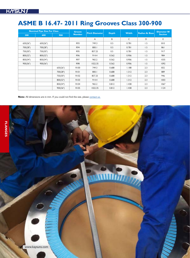# **ASME B 16.47- 2011 Ring Grooves Class 300-900**

|          | <b>Nominal Pipe Size For Class</b> |          | <b>Groove</b> |                       |              |              |                       | <b>Diameter Rf</b> |
|----------|------------------------------------|----------|---------------|-----------------------|--------------|--------------|-----------------------|--------------------|
| 300      | 600                                | 900      | <b>Number</b> | <b>Pitch Diameter</b> | <b>Depth</b> | <b>Width</b> | <b>Radius At Base</b> | <b>Section</b>     |
|          |                                    |          |               | A                     | B            | C            | D                     | E                  |
| 650(26") | 650(26")                           |          | R93           | 749.3                 | 0.5          | 0.781        | 1.5                   | 810                |
| 700(28") | 700(28")                           |          | R94           | 800.1                 | 0.5          | 0.781        | 1.5                   | 861                |
| 750(30") | 750(30")                           |          | R95           | 857.25                | 0.5          | 0.781        | 1.5                   | 917                |
| 800(32") | 800(32")                           |          | R96           | 914.4                 | 0.562        | 0.906        | 1.5                   | 984                |
| 850(34") | 850(34")                           |          | R97           | 965.2                 | 0.562        | 0.906        | 1.5                   | 1035               |
| 900(36") | 900(36")                           |          | R98           | 1022.35               | 0.562        | 0.906        | 1.5                   | 1092               |
|          |                                    | 650(26") | R100          | 749.3                 | 0.688        | 1.188        | 2.3                   | 832                |
|          |                                    | 700(28") | <b>RI01</b>   | 800.1                 | 0.688        | 1.312        | 2.3                   | 889                |
|          |                                    | 750(30") | R102          | 857.25                | 0.688        | 1.312        | 2.3                   | 946                |
|          |                                    | 800(32") | R103          | 914.4                 | 0.688        | 1.312        | 2.3                   | 1003               |
|          |                                    | 850(34") | R104          | 965.2                 | 0.812        | 1.438        | 2.3                   | 1067               |
|          |                                    | 900(36") | R105          | 1022.35               | 0.812        | 1.438        | 2.3                   | 1124               |

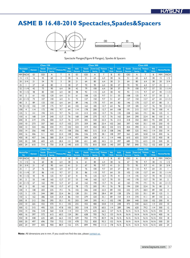### **ASME B 16.48-2010 Spectacles,Spades&Spacers**





Spectacle Flanges(Figure 8 Flanges), Spades & Spacers

|     |                                    |                 | <b>Class 150</b>                  |                               |                      | <b>Class 300</b> |                           |                                   |                                      | <b>Class 600</b>        |                     |                                  |                                   |                |                              |                     |                          |                          |
|-----|------------------------------------|-----------------|-----------------------------------|-------------------------------|----------------------|------------------|---------------------------|-----------------------------------|--------------------------------------|-------------------------|---------------------|----------------------------------|-----------------------------------|----------------|------------------------------|---------------------|--------------------------|--------------------------|
|     | <b>Nominalpipe</b>                 | <b>Diameter</b> | <b>Outside</b>                    | <b>Centre Line</b>            | <b>Thickness Min</b> | <b>Web</b>       | <b>Inside</b>             | <b>Outside</b>                    | Centre Line                          | <b>Thickness</b>        | <b>Web</b>          | <b>Inside</b>                    | <b>Outside</b>                    | Centre Line    | <b>Thickness</b>             | Web                 |                          | <b>Nominal Pipe Size</b> |
|     | <b>Size</b>                        |                 | <b>Diameter</b>                   | <b>Spacing</b>                |                      | <b>Width</b>     | <b>Diameter</b>           | <b>Diameter</b>                   | <b>Spacing</b>                       | Min                     | <b>Width</b>        | <b>Diameter</b>                  | <b>Diameter</b>                   | <b>Spacing</b> | Min                          | <b>Width</b>        |                          |                          |
|     | MM INCH                            | ID              | <b>OD</b>                         | Α                             | Τ                    | B                | ID                        | OD                                | Α                                    | Τ                       | B                   | ID                               | OD                                | Α              | T                            | B                   | <b>MM</b>                | <b>INCH</b>              |
| 15  | 1/2                                | 16              | 45                                | 60                            | 3                    | 38               | 16                        | 51                                | 65                                   | 6.4                     | 38                  | 16                               | 51                                | 65             | 6.4                          | 38                  | 15                       | 1/2                      |
| 20  | 3/4                                | 21              | 54                                | 70                            | $\overline{3}$       | 38               | 21                        | 64                                | 80                                   | 6.4                     | 38                  | 21                               | 64                                | 80             | 6.4                          | 38                  | 20                       | 3/4                      |
| 25  | $\mathbf{I}$                       | 27              | 64                                | 80                            | 3                    | 38               | 27                        | 70                                | 90                                   | 6.4                     | 38                  | 27                               | 70                                | 90             | 6.4                          | 57                  | 25                       | $\mathbf{I}$             |
| 32  | 11/4                               | 42              | 73                                | 90                            | 6.4                  | 38               | 42                        | 79                                | 100                                  | 6.4                     | 38                  | 37                               | 79                                | 100            | 9.7                          | 57                  | 32                       | 11/4                     |
| 40  | 11/2                               | 48              | 83                                | 100                           | 6.4                  | 38               | 48                        | 92                                | 115                                  | 6.4                     | 38                  | 43                               | 92                                | 115            | 9.7                          | 67                  | 40                       | 11/2                     |
| 50  | $\overline{2}$                     | 61              | 102                               | 120                           | 6.4                  | 51               | 61                        | 108                               | 125                                  | 9.7                     | 51                  | 55                               | 108                               | 125            | 9.7                          | 57                  | 50                       | $\overline{2}$           |
| 65  | 21/2                               | 73              | 107                               | 140                           | 6.4                  | 51               | 73                        | 127                               | 150                                  | 9.7                     | 51                  | 67                               | 127                               | 150            | 12.7                         | 67                  | 65                       | 21/2                     |
| 80  | $\overline{3}$                     | 89              | 133                               | 150                           | 6.4                  | 64               | 89                        | 146                               | 170                                  | 9.7                     | 64                  | 83                               | 146                               | 170            | 12.7                         | 67                  | 80                       | $\overline{3}$           |
| 90  | 31/2                               | 102             | 159                               | 175                           | 9.7                  | 64               | 102                       | 162                               | 185                                  | 12.7                    | 64                  | 96                               | 159                               | 185            | 15.7                         | 76                  | 90                       | 31/2                     |
| 100 | $\overline{4}$<br>5                | 114             | 172                               | 190                           | 9.7                  | 64<br>76         | $ $  4                    | 178                               | 200                                  | 12.7                    | 64                  | 108                              | 9                                 | 215            | 15.7                         | 76                  | 100<br>125               | $\overline{4}$           |
| 125 |                                    | 4               | 194                               | 215                           | 9.7                  |                  | 4                         | 213                               | 235                                  | 15.7                    | 76                  | 135                              | 238                               | 265            | 19.1                         | 86                  |                          | 5                        |
| 150 | 6                                  | 168             | 219                               | 240                           | 12.7                 | 76               | 168                       | 248                               | 270                                  | 15.7                    | 76                  | 162                              | 264                               | 290            | 22.4                         | 86                  | 150                      | 6                        |
| 200 | 8                                  | 219             | 276                               | 300                           | 12.7                 | 76               | 219                       | 305                               | 330                                  | 22.4                    | 76                  | 212                              | 318                               | 350            | 28.4                         | 95                  | 200                      | 8                        |
| 250 | $\overline{0}$                     | 273             | 337                               | 360                           | 15.7                 | 102              | 273                       | 359                               | 385                                  | 25.4                    | 102                 | 265                              | 397                               | 430            | 35.1                         | 105                 | 250                      | 0                        |
| 300 | 12                                 | 324             | 406                               | 430                           | 19.1                 | 102              | 324                       | 419                               | 450                                  | 28.5                    | 102                 | 315                              | 454                               | 490            | 41.1                         | 105                 | 300                      | 12                       |
| 350 | 4                                  | 356             | 448                               | 475                           | 19.1                 | 108              | 356                       | 483                               | 515                                  | 31.8                    | 108                 | 346                              | 489                               | 525            | 44.5                         | $ $  4              | 350                      | 4                        |
| 400 | 16                                 | 406             | 511                               | 460                           | 22.4                 | 108              | 406                       | 536                               | 570                                  | 38.1                    | 108                 | 397                              | 562                               | 605            | 50.8                         | 124                 | 400                      | 6                        |
| 450 | 8                                  | 457             | 546                               | 580                           | 25.4                 | $ $  4           | 457                       | 594                               | 630                                  | 41.1                    | $ $  4              | 448                              | 610                               | 655            | 53.9                         | 133                 | 450                      | 8                        |
| 500 | 20                                 | 508             | 603                               | 635                           | 28.4                 | 2                | 508                       | 651                               | 685                                  | 44.5                    | 2                   | 497                              | 680                               | 725            | 63.5                         | 133                 | 500                      | 20                       |
| 600 | 24                                 | 610             | 714                               | 750                           | 31.8                 | 40               | 610                       | 772                               | 810                                  | 50.8                    | 140                 | 597                              | 787                               | 840            | 73.2                         | 152                 | 600                      | 24                       |
|     |                                    |                 | Class 900                         |                               |                      |                  |                           |                                   | <b>Class 1500</b>                    |                         |                     |                                  |                                   |                | <b>Class 2500</b>            |                     |                          |                          |
|     | <b>Nominal Pipe</b><br><b>Size</b> | <b>Diameter</b> | <b>Outside</b><br><b>Diameter</b> | <b>Centre Line</b><br>Spacing | <b>Thickness Min</b> | Web<br>Width     | Inside<br><b>Diameter</b> | <b>Outside</b><br><b>Diameter</b> | <b>Centre Line</b><br><b>Spacing</b> | <b>Thickness</b><br>Min | Web<br><b>Width</b> | <b>Inside</b><br><b>Diameter</b> | <b>Outside</b><br><b>Diameter</b> | Spacing        | Centre Line Thickness<br>Min | Web<br><b>Width</b> | <b>Nominal Pipe Size</b> |                          |
|     | MM INCH                            | ID              | <b>OD</b>                         | Α                             | Τ                    | B                | ID                        | OD                                | Α                                    | Τ                       | B                   | ID                               | OD                                | Α              | Τ                            | B                   | <b>MM</b>                | <b>INCH</b>              |
| 15  | 1/2                                | 16              | 60                                | 80                            | 6.4                  | 38               | 16                        | 61                                | 80                                   | 6.4                     | 38                  | 16                               | 67                                | 90             | 9.7                          | 38                  | 15                       | 1/2                      |
| 20  | 3/4                                | 21              | 67                                | 90                            | 6.4                  | 4 <sub>1</sub>   | 21                        | 67                                | 90                                   | 9.7                     | 4 <sub>1</sub>      | 21                               | 73                                | 95             | 9.7                          | 41                  | 20                       | 3/4                      |
| 25  | $\mathbf{I}$                       | 27              | 76                                | 100                           | 6.4                  | 57               | 27                        | 76                                | 100                                  | 9.7                     | 64                  | 27                               | 83                                | 110            | 9.7                          | 64                  | 25                       | $\mathbf{I}$             |
| 32  | 11/4                               | 37              | 86                                | 110                           | 9.7                  | 57               | 35                        | 86                                | 110                                  | 9.7                     | 64                  | 35                               | 102                               | 130            | 12.7                         | 64                  | 32                       | 11/4                     |
| 40  | 11/2                               | 43              | 95                                | 125                           | 9.7                  | 67               | 4 <sub>1</sub>            | 95                                | 125                                  | 12.7                    | 70                  | 4 <sub>1</sub>                   | $ $  4                            | 145            | 15.7                         | 70                  | 40                       | 11/2                     |
| 50  | $\overline{2}$                     | 55              | 140                               | 165                           | 12.7                 | 57               | 53                        | 140                               | 165                                  | 12.7                    | 70                  | 53                               | 43                                | 170            | 15.7                         | 70                  | 50                       | $\overline{2}$           |
| 65  | 21/2                               | 67              | 162                               | 190                           | 12.7                 | 67               | 63                        | 162                               | 190                                  | 15.7                    | 76                  | 63                               | 165                               | 195            | 19.1                         | 76                  | 65                       | 21/2                     |
| 80  | 3                                  | 83              | 165                               | 190                           | 15.7                 | 67               | 78                        | 172                               | 205                                  | 19.1                    | 76                  | 78                               | 194                               | 230            | 22.4                         | 76                  | 80                       | 3                        |
| 100 | $\overline{4}$                     | 108             | 203                               | 235                           | 19.1                 | 76               | 102                       | 206                               | 240                                  | 22.4                    | 89                  | 102                              | 232                               | 275            | 28.4                         | 89                  | 100                      | $\overline{4}$           |
| 125 | 5                                  | 135             | 244                               | 280                           | 22.4                 | 86               | 128                       | 251                               | 290                                  | 28.4                    | 89                  | 128                              | 276                               | 325            | 35.1                         | 89                  | 125                      | 5                        |
| 150 | 6                                  | 162             | 286                               | 320                           | 25.4                 | 86               | 154                       | 279                               | 320                                  | 35.1                    | 89                  | 154                              | 314                               | 370            | 41.1                         | 89                  | 150                      | 6                        |
| 200 | 8                                  | 212             | 356                               | 395                           | 35.1                 | 95               | 203                       | 349                               | 395                                  | 41.1                    | 102                 | 198                              | 384                               | 440            | 53.8                         | 102                 | 200                      | 8                        |
| 250 | 10                                 | 265             | 432                               | 470                           | 41.1                 | 105              | 255                       | 432                               | 480                                  | 50.8                    | $ $  4              | 248                              | 473                               | 540            | 66.5                         | $ $  4              | 250                      | 10                       |
| 300 | 12                                 | 315             | 495                               | 535                           | 47.8                 | 105              | 303                       | 518                               | 570                                  | 60.5                    | $ $  4              | 289                              | 546                               | 620            | 79.2                         | $ $  4              | 300                      | 12                       |
| 350 | 4                                  | 346             | 518                               | 560                           | 53.8                 | $ $  4           | 333                       | 575                               | 635                                  | 66.5                    | 127                 | N/A                              | N/A                               | N/A            | N/A                          | N/A                 | 350                      | 4                        |
| 400 | 16                                 | 397             | 572                               | 615                           | 60.5                 | 124              | 381                       | 638                               | 705                                  | 76.2                    | 133                 | N/A                              | N/A                               | N/A            | N/A                          | N/A                 | 400                      | 16                       |
| 450 | 8                                  | 448             | 635                               | 685                           | 66.5                 | 133              | 429                       | 702                               | 775                                  | 85.9                    | 146                 | N/A                              | N/A                               | N/A            | N/A                          | N/A                 | 450                      | 8                        |

500 20 497 696 750 73.2 133 478 752 830 95.3 152 N/A N/A N/A N/A N/A 500 20 600 24 597 835 900 88.9 152 575 899 990 111.3 178 N/A N/A N/A N/A N/A 600 24

**Note:** All dimensions are in mm. If you could not find the size, please [contact us.](mailto:sales%40kaysuns.com?subject=)